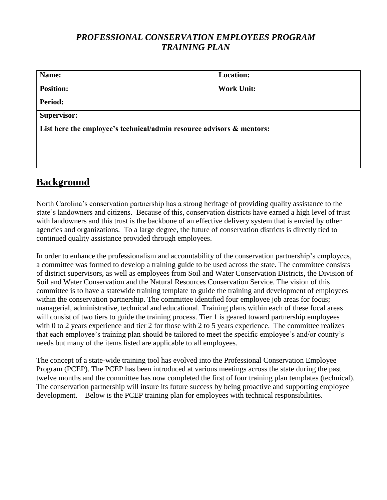# *PROFESSIONAL CONSERVATION EMPLOYEES PROGRAM TRAINING PLAN*

| List here the employee's technical/admin resource advisors & mentors: |
|-----------------------------------------------------------------------|
|                                                                       |
|                                                                       |
|                                                                       |

# **Background**

North Carolina's conservation partnership has a strong heritage of providing quality assistance to the state's landowners and citizens. Because of this, conservation districts have earned a high level of trust with landowners and this trust is the backbone of an effective delivery system that is envied by other agencies and organizations. To a large degree, the future of conservation districts is directly tied to continued quality assistance provided through employees.

In order to enhance the professionalism and accountability of the conservation partnership's employees, a committee was formed to develop a training guide to be used across the state. The committee consists of district supervisors, as well as employees from Soil and Water Conservation Districts, the Division of Soil and Water Conservation and the Natural Resources Conservation Service. The vision of this committee is to have a statewide training template to guide the training and development of employees within the conservation partnership. The committee identified four employee job areas for focus; managerial, administrative, technical and educational. Training plans within each of these focal areas will consist of two tiers to guide the training process. Tier 1 is geared toward partnership employees with 0 to 2 years experience and tier 2 for those with 2 to 5 years experience. The committee realizes that each employee's training plan should be tailored to meet the specific employee's and/or county's needs but many of the items listed are applicable to all employees.

The concept of a state-wide training tool has evolved into the Professional Conservation Employee Program (PCEP). The PCEP has been introduced at various meetings across the state during the past twelve months and the committee has now completed the first of four training plan templates (technical). The conservation partnership will insure its future success by being proactive and supporting employee development. Below is the PCEP training plan for employees with technical responsibilities.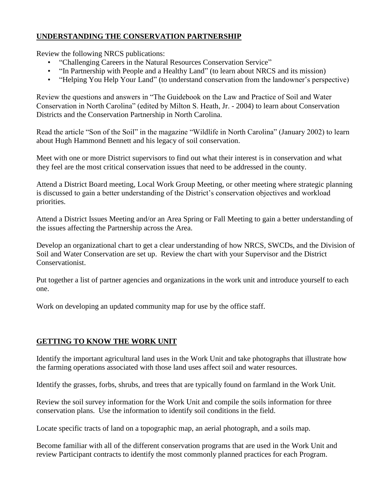# **UNDERSTANDING THE CONSERVATION PARTNERSHIP**

Review the following NRCS publications:

- "Challenging Careers in the Natural Resources Conservation Service"
- "In Partnership with People and a Healthy Land" (to learn about NRCS and its mission)
- "Helping You Help Your Land" (to understand conservation from the landowner's perspective)

Review the questions and answers in "The Guidebook on the Law and Practice of Soil and Water Conservation in North Carolina" (edited by Milton S. Heath, Jr. - 2004) to learn about Conservation Districts and the Conservation Partnership in North Carolina.

Read the article "Son of the Soil" in the magazine "Wildlife in North Carolina" (January 2002) to learn about Hugh Hammond Bennett and his legacy of soil conservation.

Meet with one or more District supervisors to find out what their interest is in conservation and what they feel are the most critical conservation issues that need to be addressed in the county.

Attend a District Board meeting, Local Work Group Meeting, or other meeting where strategic planning is discussed to gain a better understanding of the District's conservation objectives and workload priorities.

Attend a District Issues Meeting and/or an Area Spring or Fall Meeting to gain a better understanding of the issues affecting the Partnership across the Area.

Develop an organizational chart to get a clear understanding of how NRCS, SWCDs, and the Division of Soil and Water Conservation are set up. Review the chart with your Supervisor and the District Conservationist.

Put together a list of partner agencies and organizations in the work unit and introduce yourself to each one.

Work on developing an updated community map for use by the office staff.

# **GETTING TO KNOW THE WORK UNIT**

Identify the important agricultural land uses in the Work Unit and take photographs that illustrate how the farming operations associated with those land uses affect soil and water resources.

Identify the grasses, forbs, shrubs, and trees that are typically found on farmland in the Work Unit.

Review the soil survey information for the Work Unit and compile the soils information for three conservation plans. Use the information to identify soil conditions in the field.

Locate specific tracts of land on a topographic map, an aerial photograph, and a soils map.

Become familiar with all of the different conservation programs that are used in the Work Unit and review Participant contracts to identify the most commonly planned practices for each Program.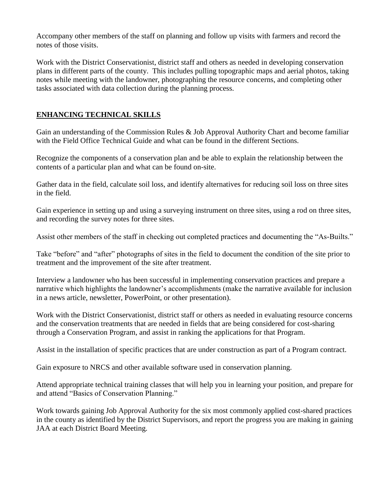Accompany other members of the staff on planning and follow up visits with farmers and record the notes of those visits.

Work with the District Conservationist, district staff and others as needed in developing conservation plans in different parts of the county. This includes pulling topographic maps and aerial photos, taking notes while meeting with the landowner, photographing the resource concerns, and completing other tasks associated with data collection during the planning process.

# **ENHANCING TECHNICAL SKILLS**

Gain an understanding of the Commission Rules & Job Approval Authority Chart and become familiar with the Field Office Technical Guide and what can be found in the different Sections.

Recognize the components of a conservation plan and be able to explain the relationship between the contents of a particular plan and what can be found on-site.

Gather data in the field, calculate soil loss, and identify alternatives for reducing soil loss on three sites in the field.

Gain experience in setting up and using a surveying instrument on three sites, using a rod on three sites, and recording the survey notes for three sites.

Assist other members of the staff in checking out completed practices and documenting the "As-Builts."

Take "before" and "after" photographs of sites in the field to document the condition of the site prior to treatment and the improvement of the site after treatment.

Interview a landowner who has been successful in implementing conservation practices and prepare a narrative which highlights the landowner's accomplishments (make the narrative available for inclusion in a news article, newsletter, PowerPoint, or other presentation).

Work with the District Conservationist, district staff or others as needed in evaluating resource concerns and the conservation treatments that are needed in fields that are being considered for cost-sharing through a Conservation Program, and assist in ranking the applications for that Program.

Assist in the installation of specific practices that are under construction as part of a Program contract.

Gain exposure to NRCS and other available software used in conservation planning.

Attend appropriate technical training classes that will help you in learning your position, and prepare for and attend "Basics of Conservation Planning."

Work towards gaining Job Approval Authority for the six most commonly applied cost-shared practices in the county as identified by the District Supervisors, and report the progress you are making in gaining JAA at each District Board Meeting.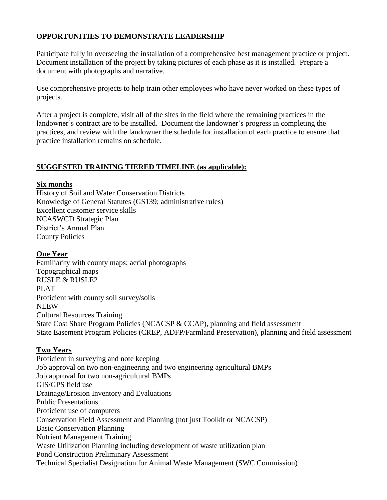# **OPPORTUNITIES TO DEMONSTRATE LEADERSHIP**

Participate fully in overseeing the installation of a comprehensive best management practice or project. Document installation of the project by taking pictures of each phase as it is installed. Prepare a document with photographs and narrative.

Use comprehensive projects to help train other employees who have never worked on these types of projects.

After a project is complete, visit all of the sites in the field where the remaining practices in the landowner's contract are to be installed. Document the landowner's progress in completing the practices, and review with the landowner the schedule for installation of each practice to ensure that practice installation remains on schedule.

#### **SUGGESTED TRAINING TIERED TIMELINE (as applicable):**

#### **Six months**

History of Soil and Water Conservation Districts Knowledge of General Statutes (GS139; administrative rules) Excellent customer service skills NCASWCD Strategic Plan District's Annual Plan County Policies

#### **One Year**

Familiarity with county maps; aerial photographs Topographical maps RUSLE & RUSLE2 PLAT Proficient with county soil survey/soils **NLEW** Cultural Resources Training State Cost Share Program Policies (NCACSP & CCAP), planning and field assessment State Easement Program Policies (CREP, ADFP/Farmland Preservation), planning and field assessment

#### **Two Years**

Proficient in surveying and note keeping Job approval on two non-engineering and two engineering agricultural BMPs Job approval for two non-agricultural BMPs GIS/GPS field use Drainage/Erosion Inventory and Evaluations Public Presentations Proficient use of computers Conservation Field Assessment and Planning (not just Toolkit or NCACSP) Basic Conservation Planning Nutrient Management Training Waste Utilization Planning including development of waste utilization plan Pond Construction Preliminary Assessment Technical Specialist Designation for Animal Waste Management (SWC Commission)